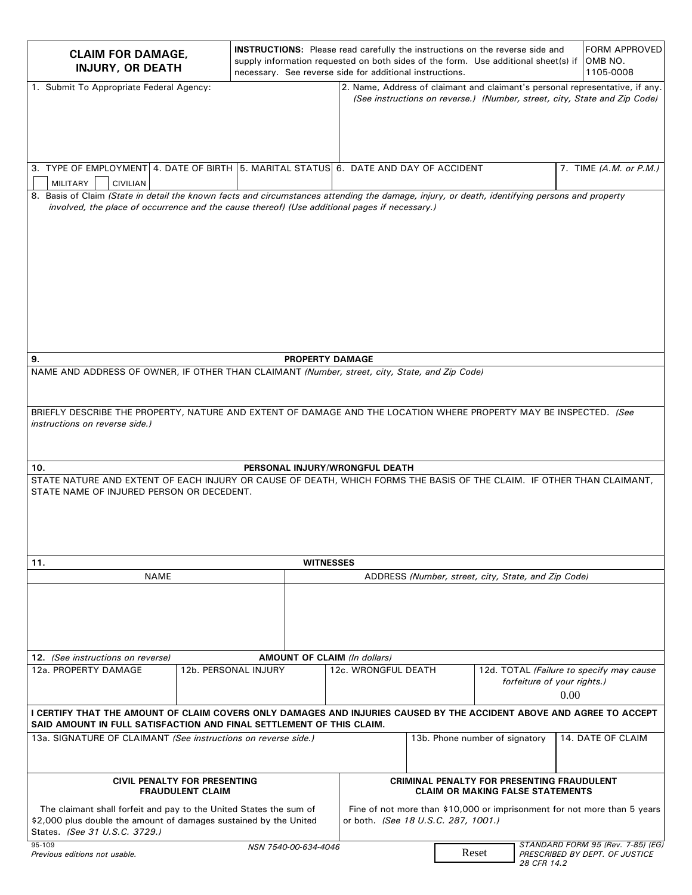| <b>CLAIM FOR DAMAGE,</b><br><b>INJURY, OR DEATH</b>                                                                                                                                                                                                                                         |                      | <b>INSTRUCTIONS:</b> Please read carefully the instructions on the reverse side and<br>necessary. See reverse side for additional instructions. |                                                                                       |                                                     | supply information requested on both sides of the form. Use additional sheet(s) if |                                                                                                                                                           |  |
|---------------------------------------------------------------------------------------------------------------------------------------------------------------------------------------------------------------------------------------------------------------------------------------------|----------------------|-------------------------------------------------------------------------------------------------------------------------------------------------|---------------------------------------------------------------------------------------|-----------------------------------------------------|------------------------------------------------------------------------------------|-----------------------------------------------------------------------------------------------------------------------------------------------------------|--|
| 1. Submit To Appropriate Federal Agency:                                                                                                                                                                                                                                                    |                      |                                                                                                                                                 |                                                                                       |                                                     |                                                                                    | 2. Name, Address of claimant and claimant's personal representative, if any.<br>(See instructions on reverse.) (Number, street, city, State and Zip Code) |  |
| 3. TYPE OF EMPLOYMENT 4. DATE OF BIRTH 5. MARITAL STATUS 6. DATE AND DAY OF ACCIDENT<br><b>MILITARY</b><br><b>CIVILIAN</b>                                                                                                                                                                  |                      |                                                                                                                                                 |                                                                                       |                                                     |                                                                                    | 7. TIME (A.M. or P.M.)                                                                                                                                    |  |
| 8. Basis of Claim (State in detail the known facts and circumstances attending the damage, injury, or death, identifying persons and property<br>involved, the place of occurrence and the cause thereof) (Use additional pages if necessary.)                                              |                      |                                                                                                                                                 |                                                                                       |                                                     |                                                                                    |                                                                                                                                                           |  |
|                                                                                                                                                                                                                                                                                             |                      |                                                                                                                                                 |                                                                                       |                                                     |                                                                                    |                                                                                                                                                           |  |
| <b>PROPERTY DAMAGE</b><br>9.                                                                                                                                                                                                                                                                |                      |                                                                                                                                                 |                                                                                       |                                                     |                                                                                    |                                                                                                                                                           |  |
| NAME AND ADDRESS OF OWNER, IF OTHER THAN CLAIMANT (Number, street, city, State, and Zip Code)                                                                                                                                                                                               |                      |                                                                                                                                                 |                                                                                       |                                                     |                                                                                    |                                                                                                                                                           |  |
| BRIEFLY DESCRIBE THE PROPERTY, NATURE AND EXTENT OF DAMAGE AND THE LOCATION WHERE PROPERTY MAY BE INSPECTED. (See<br>instructions on reverse side.)                                                                                                                                         |                      |                                                                                                                                                 |                                                                                       |                                                     |                                                                                    |                                                                                                                                                           |  |
|                                                                                                                                                                                                                                                                                             |                      |                                                                                                                                                 |                                                                                       |                                                     |                                                                                    |                                                                                                                                                           |  |
| PERSONAL INJURY/WRONGFUL DEATH<br>10.<br>STATE NATURE AND EXTENT OF EACH INJURY OR CAUSE OF DEATH, WHICH FORMS THE BASIS OF THE CLAIM. IF OTHER THAN CLAIMANT,<br>STATE NAME OF INJURED PERSON OR DECEDENT.                                                                                 |                      |                                                                                                                                                 |                                                                                       |                                                     |                                                                                    |                                                                                                                                                           |  |
| 11.                                                                                                                                                                                                                                                                                         | <b>WITNESSES</b>     |                                                                                                                                                 |                                                                                       |                                                     |                                                                                    |                                                                                                                                                           |  |
| <b>NAME</b>                                                                                                                                                                                                                                                                                 |                      |                                                                                                                                                 | ADDRESS (Number, street, city, State, and Zip Code)                                   |                                                     |                                                                                    |                                                                                                                                                           |  |
|                                                                                                                                                                                                                                                                                             |                      |                                                                                                                                                 |                                                                                       |                                                     |                                                                                    |                                                                                                                                                           |  |
| 12. (See instructions on reverse)                                                                                                                                                                                                                                                           |                      |                                                                                                                                                 | <b>AMOUNT OF CLAIM (In dollars)</b>                                                   |                                                     |                                                                                    |                                                                                                                                                           |  |
| 12a. PROPERTY DAMAGE                                                                                                                                                                                                                                                                        | 12b. PERSONAL INJURY |                                                                                                                                                 | 12c. WRONGFUL DEATH                                                                   |                                                     | forfeiture of your rights.)                                                        | 12d. TOTAL (Failure to specify may cause<br>0.00                                                                                                          |  |
| I CERTIFY THAT THE AMOUNT OF CLAIM COVERS ONLY DAMAGES AND INJURIES CAUSED BY THE ACCIDENT ABOVE AND AGREE TO ACCEPT<br>SAID AMOUNT IN FULL SATISFACTION AND FINAL SETTLEMENT OF THIS CLAIM.                                                                                                |                      |                                                                                                                                                 |                                                                                       |                                                     |                                                                                    |                                                                                                                                                           |  |
| 13a. SIGNATURE OF CLAIMANT (See instructions on reverse side.)                                                                                                                                                                                                                              |                      |                                                                                                                                                 |                                                                                       | 14. DATE OF CLAIM<br>13b. Phone number of signatory |                                                                                    |                                                                                                                                                           |  |
| CIVIL PENALTY FOR PRESENTING<br><b>FRAUDULENT CLAIM</b>                                                                                                                                                                                                                                     |                      |                                                                                                                                                 | CRIMINAL PENALTY FOR PRESENTING FRAUDULENT<br><b>CLAIM OR MAKING FALSE STATEMENTS</b> |                                                     |                                                                                    |                                                                                                                                                           |  |
| The claimant shall forfeit and pay to the United States the sum of<br>Fine of not more than \$10,000 or imprisonment for not more than 5 years<br>\$2,000 plus double the amount of damages sustained by the United<br>or both. (See 18 U.S.C. 287, 1001.)<br>States. (See 31 U.S.C. 3729.) |                      |                                                                                                                                                 |                                                                                       |                                                     |                                                                                    |                                                                                                                                                           |  |
| STANDARD FORM 95 (Rev. 7-85) (EG)<br>95-109<br>NSN 7540-00-634-4046<br>Reset<br>Previous editions not usable.<br>PRESCRIBED BY DEPT. OF JUSTICE<br>28 CFR 14.2                                                                                                                              |                      |                                                                                                                                                 |                                                                                       |                                                     |                                                                                    |                                                                                                                                                           |  |